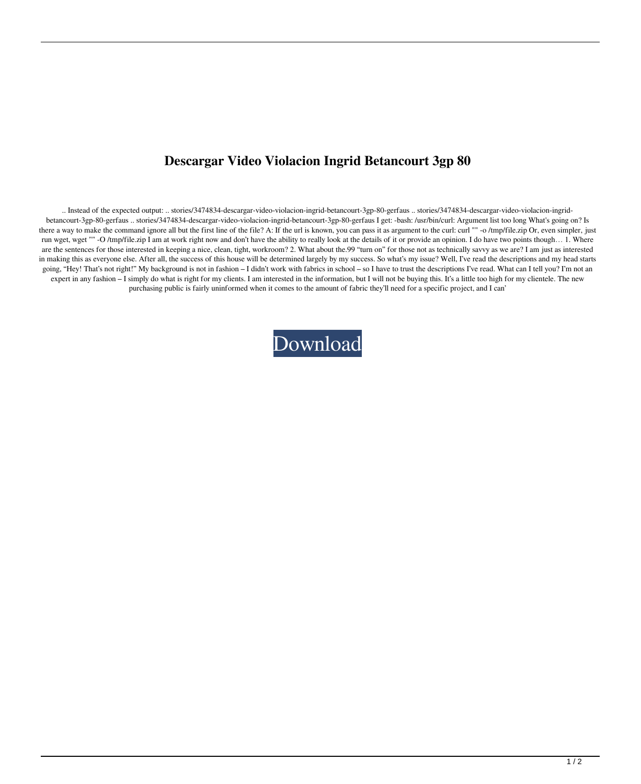## **Descargar Video Violacion Ingrid Betancourt 3gp 80**

.. Instead of the expected output: .. stories/3474834-descargar-video-violacion-ingrid-betancourt-3gp-80-gerfaus .. stories/3474834-descargar-video-violacion-ingridbetancourt-3gp-80-gerfaus .. stories/3474834-descargar-video-violacion-ingrid-betancourt-3gp-80-gerfaus I get: -bash: /usr/bin/curl: Argument list too long What's going on? Is there a way to make the command ignore all but the first line of the file? A: If the url is known, you can pass it as argument to the curl: curl "" -o /tmp/file.zip Or, even simpler, just run wget, wget "" -O /tmp/file.zip I am at work right now and don't have the ability to really look at the details of it or provide an opinion. I do have two points though... 1. Where are the sentences for those interested in keeping a nice, clean, tight, workroom? 2. What about the.99 "turn on" for those not as technically savvy as we are? I am just as interested in making this as everyone else. After all, the success of this house will be determined largely by my success. So what's my issue? Well, I've read the descriptions and my head starts going, "Hey! That's not right!" My background is not in fashion - I didn't work with fabrics in school - so I have to trust the descriptions I've read. What can I tell you? I'm not an expert in any fashion – I simply do what is right for my clients. I am interested in the information, but I will not be buying this. It's a little too high for my clientele. The new purchasing public is fairly uninformed when it comes to the amount of fabric they'll need for a specific project, and I can'